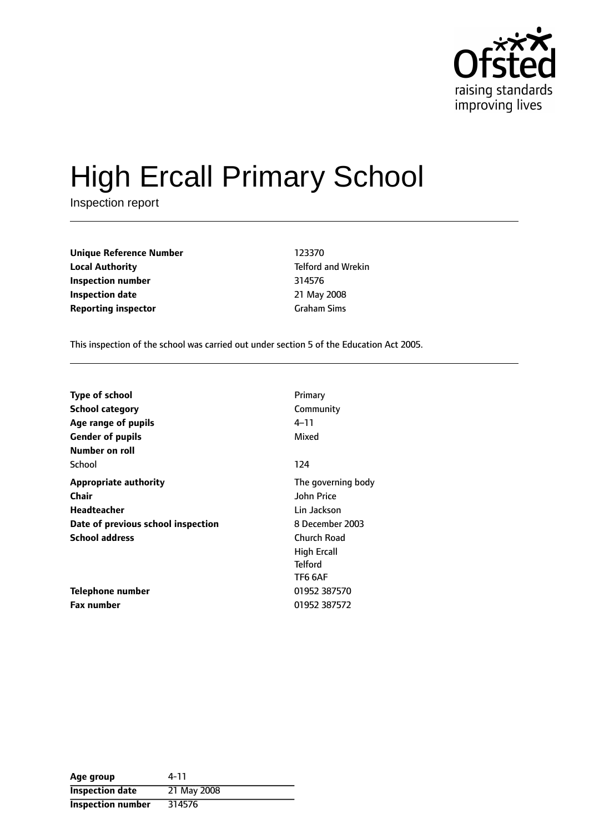

# High Ercall Primary School

Inspection report

**Unique Reference Number** 123370 **Local Authority Telford and Wrekin Inspection number** 314576 **Inspection date** 21 May 2008 **Reporting inspector** Graham Sims

This inspection of the school was carried out under section 5 of the Education Act 2005.

| <b>Type of school</b>              | Primary            |
|------------------------------------|--------------------|
| <b>School category</b>             | Community          |
| Age range of pupils                | 4–11               |
| <b>Gender of pupils</b>            | Mixed              |
| Number on roll                     |                    |
| School                             | 124                |
| <b>Appropriate authority</b>       | The governing body |
| Chair                              | <b>John Price</b>  |
| Headteacher                        | Lin Jackson        |
| Date of previous school inspection | 8 December 2003    |
| <b>School address</b>              | Church Road        |
|                                    | High Ercall        |
|                                    | <b>Telford</b>     |
|                                    | <b>TF6 6AF</b>     |
| Telephone number                   | 01952 387570       |
| <b>Fax number</b>                  | 01952 387572       |

| Age group              | 4-11        |
|------------------------|-------------|
| <b>Inspection date</b> | 21 May 2008 |
| Inspection number      | 314576      |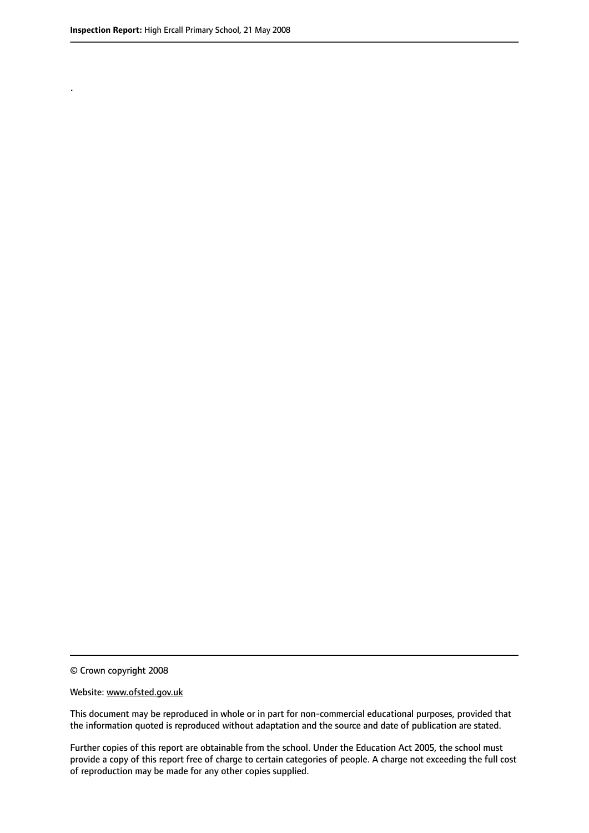.

© Crown copyright 2008

#### Website: www.ofsted.gov.uk

This document may be reproduced in whole or in part for non-commercial educational purposes, provided that the information quoted is reproduced without adaptation and the source and date of publication are stated.

Further copies of this report are obtainable from the school. Under the Education Act 2005, the school must provide a copy of this report free of charge to certain categories of people. A charge not exceeding the full cost of reproduction may be made for any other copies supplied.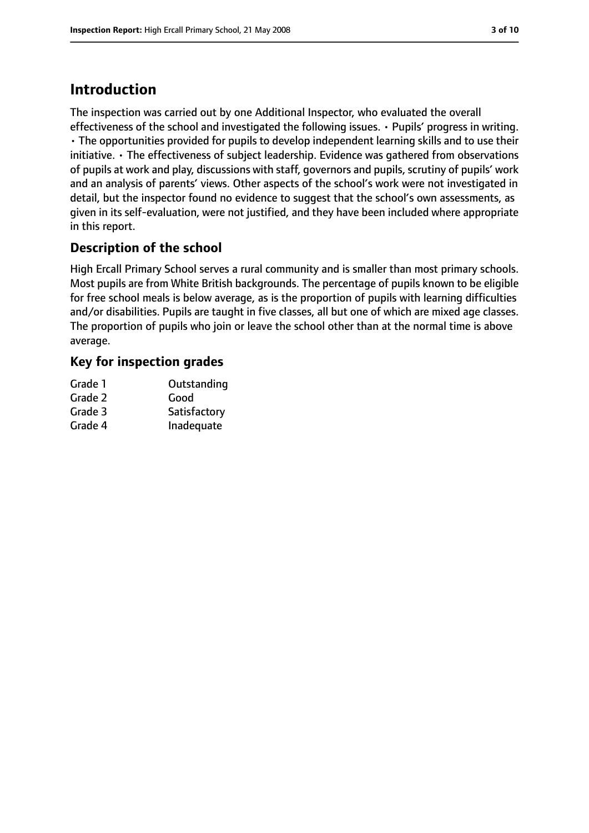# **Introduction**

The inspection was carried out by one Additional Inspector, who evaluated the overall effectiveness of the school and investigated the following issues. • Pupils' progress in writing. • The opportunities provided for pupils to develop independent learning skills and to use their initiative. • The effectiveness of subject leadership. Evidence was gathered from observations of pupils at work and play, discussions with staff, governors and pupils, scrutiny of pupils' work and an analysis of parents' views. Other aspects of the school's work were not investigated in detail, but the inspector found no evidence to suggest that the school's own assessments, as given in its self-evaluation, were not justified, and they have been included where appropriate in this report.

# **Description of the school**

High Ercall Primary School serves a rural community and is smaller than most primary schools. Most pupils are from White British backgrounds. The percentage of pupils known to be eligible for free school meals is below average, as is the proportion of pupils with learning difficulties and/or disabilities. Pupils are taught in five classes, all but one of which are mixed age classes. The proportion of pupils who join or leave the school other than at the normal time is above average.

# **Key for inspection grades**

| Grade 1 | Outstanding  |
|---------|--------------|
| Grade 2 | Good         |
| Grade 3 | Satisfactory |
| Grade 4 | Inadequate   |
|         |              |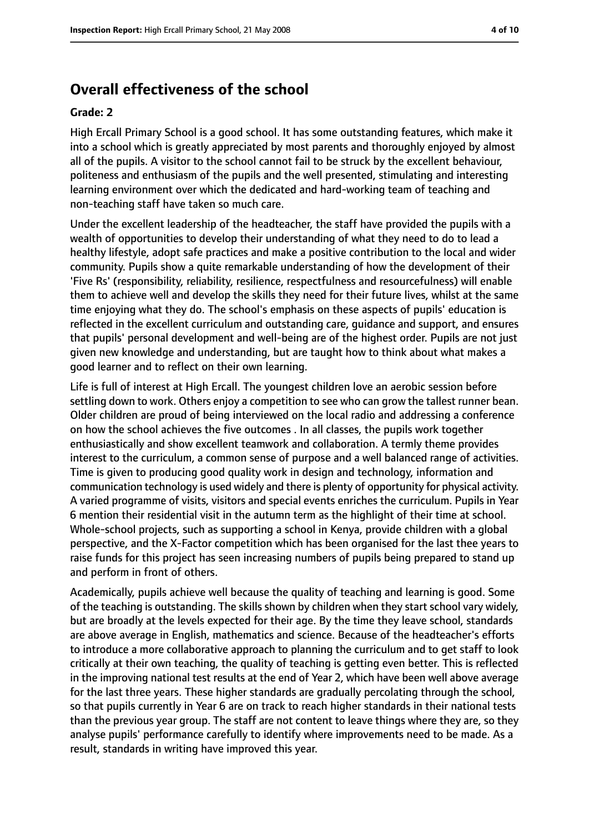# **Overall effectiveness of the school**

#### **Grade: 2**

High Ercall Primary School is a good school. It has some outstanding features, which make it into a school which is greatly appreciated by most parents and thoroughly enjoyed by almost all of the pupils. A visitor to the school cannot fail to be struck by the excellent behaviour, politeness and enthusiasm of the pupils and the well presented, stimulating and interesting learning environment over which the dedicated and hard-working team of teaching and non-teaching staff have taken so much care.

Under the excellent leadership of the headteacher, the staff have provided the pupils with a wealth of opportunities to develop their understanding of what they need to do to lead a healthy lifestyle, adopt safe practices and make a positive contribution to the local and wider community. Pupils show a quite remarkable understanding of how the development of their 'Five Rs' (responsibility, reliability, resilience, respectfulness and resourcefulness) will enable them to achieve well and develop the skills they need for their future lives, whilst at the same time enjoying what they do. The school's emphasis on these aspects of pupils' education is reflected in the excellent curriculum and outstanding care, guidance and support, and ensures that pupils' personal development and well-being are of the highest order. Pupils are not just given new knowledge and understanding, but are taught how to think about what makes a good learner and to reflect on their own learning.

Life is full of interest at High Ercall. The youngest children love an aerobic session before settling down to work. Others enjoy a competition to see who can grow the tallest runner bean. Older children are proud of being interviewed on the local radio and addressing a conference on how the school achieves the five outcomes . In all classes, the pupils work together enthusiastically and show excellent teamwork and collaboration. A termly theme provides interest to the curriculum, a common sense of purpose and a well balanced range of activities. Time is given to producing good quality work in design and technology, information and communication technology is used widely and there is plenty of opportunity for physical activity. A varied programme of visits, visitors and special events enriches the curriculum. Pupils in Year 6 mention their residential visit in the autumn term as the highlight of their time at school. Whole-school projects, such as supporting a school in Kenya, provide children with a global perspective, and the X-Factor competition which has been organised for the last thee years to raise funds for this project has seen increasing numbers of pupils being prepared to stand up and perform in front of others.

Academically, pupils achieve well because the quality of teaching and learning is good. Some of the teaching is outstanding. The skills shown by children when they start school vary widely, but are broadly at the levels expected for their age. By the time they leave school, standards are above average in English, mathematics and science. Because of the headteacher's efforts to introduce a more collaborative approach to planning the curriculum and to get staff to look critically at their own teaching, the quality of teaching is getting even better. This is reflected in the improving national test results at the end of Year 2, which have been well above average for the last three years. These higher standards are gradually percolating through the school, so that pupils currently in Year 6 are on track to reach higher standards in their national tests than the previous year group. The staff are not content to leave things where they are, so they analyse pupils' performance carefully to identify where improvements need to be made. As a result, standards in writing have improved this year.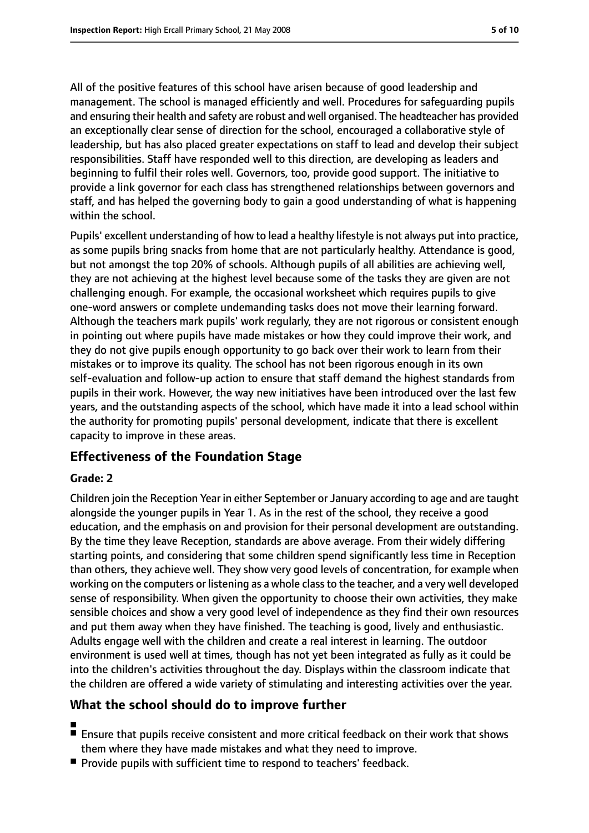All of the positive features of this school have arisen because of good leadership and management. The school is managed efficiently and well. Procedures for safeguarding pupils and ensuring their health and safety are robust and well organised. The headteacher has provided an exceptionally clear sense of direction for the school, encouraged a collaborative style of leadership, but has also placed greater expectations on staff to lead and develop their subject responsibilities. Staff have responded well to this direction, are developing as leaders and beginning to fulfil their roles well. Governors, too, provide good support. The initiative to provide a link governor for each class has strengthened relationships between governors and staff, and has helped the governing body to gain a good understanding of what is happening within the school.

Pupils' excellent understanding of how to lead a healthy lifestyle is not always put into practice, as some pupils bring snacks from home that are not particularly healthy. Attendance is good, but not amongst the top 20% of schools. Although pupils of all abilities are achieving well, they are not achieving at the highest level because some of the tasks they are given are not challenging enough. For example, the occasional worksheet which requires pupils to give one-word answers or complete undemanding tasks does not move their learning forward. Although the teachers mark pupils' work regularly, they are not rigorous or consistent enough in pointing out where pupils have made mistakes or how they could improve their work, and they do not give pupils enough opportunity to go back over their work to learn from their mistakes or to improve its quality. The school has not been rigorous enough in its own self-evaluation and follow-up action to ensure that staff demand the highest standards from pupils in their work. However, the way new initiatives have been introduced over the last few years, and the outstanding aspects of the school, which have made it into a lead school within the authority for promoting pupils' personal development, indicate that there is excellent capacity to improve in these areas.

# **Effectiveness of the Foundation Stage**

### **Grade: 2**

Children join the Reception Year in either September or January according to age and are taught alongside the younger pupils in Year 1. As in the rest of the school, they receive a good education, and the emphasis on and provision for their personal development are outstanding. By the time they leave Reception, standards are above average. From their widely differing starting points, and considering that some children spend significantly less time in Reception than others, they achieve well. They show very good levels of concentration, for example when working on the computers or listening as a whole classto the teacher, and a very well developed sense of responsibility. When given the opportunity to choose their own activities, they make sensible choices and show a very good level of independence as they find their own resources and put them away when they have finished. The teaching is good, lively and enthusiastic. Adults engage well with the children and create a real interest in learning. The outdoor environment is used well at times, though has not yet been integrated as fully as it could be into the children's activities throughout the day. Displays within the classroom indicate that the children are offered a wide variety of stimulating and interesting activities over the year.

# **What the school should do to improve further**

- ■
- Ensure that pupils receive consistent and more critical feedback on their work that shows them where they have made mistakes and what they need to improve.
- Provide pupils with sufficient time to respond to teachers' feedback.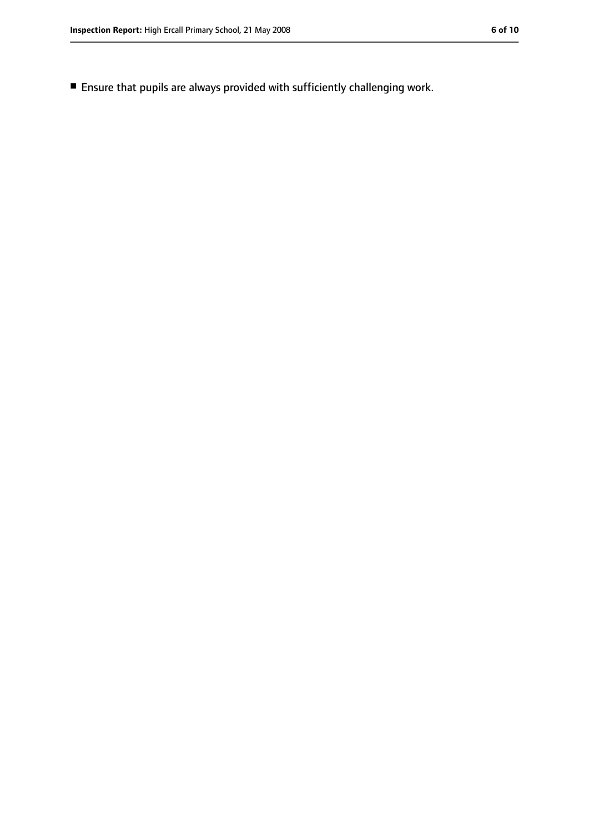■ Ensure that pupils are always provided with sufficiently challenging work.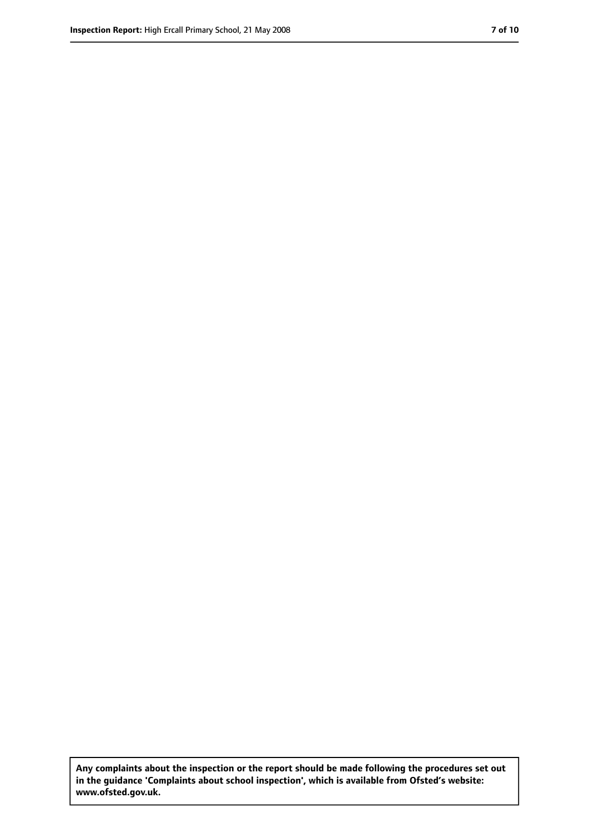**Any complaints about the inspection or the report should be made following the procedures set out in the guidance 'Complaints about school inspection', which is available from Ofsted's website: www.ofsted.gov.uk.**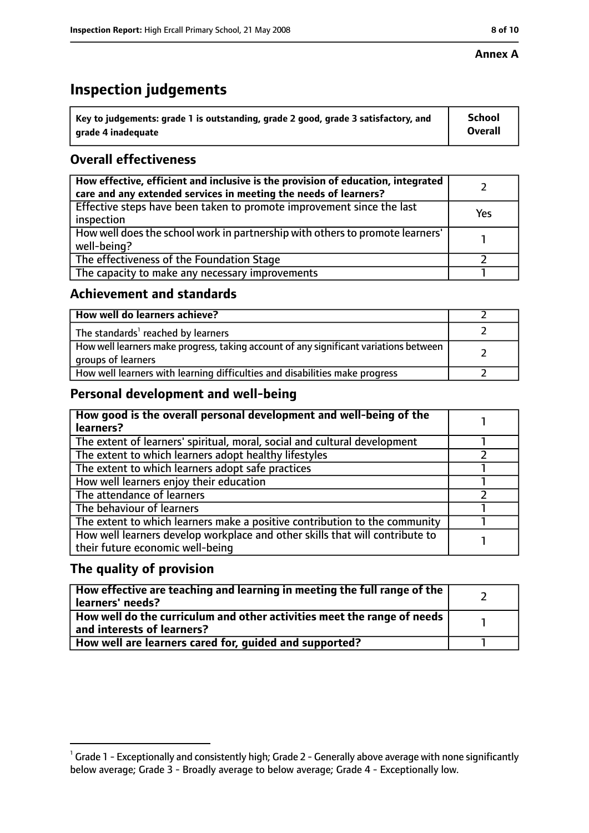### **Annex A**

# **Inspection judgements**

| $\lq$ Key to judgements: grade 1 is outstanding, grade 2 good, grade 3 satisfactory, and | <b>School</b>  |
|------------------------------------------------------------------------------------------|----------------|
| arade 4 inadequate                                                                       | <b>Overall</b> |

# **Overall effectiveness**

| How effective, efficient and inclusive is the provision of education, integrated<br>care and any extended services in meeting the needs of learners? |     |
|------------------------------------------------------------------------------------------------------------------------------------------------------|-----|
| Effective steps have been taken to promote improvement since the last<br>inspection                                                                  | Yes |
| How well does the school work in partnership with others to promote learners'<br>well-being?                                                         |     |
| The effectiveness of the Foundation Stage                                                                                                            |     |
| The capacity to make any necessary improvements                                                                                                      |     |

### **Achievement and standards**

| How well do learners achieve?                                                                               |  |
|-------------------------------------------------------------------------------------------------------------|--|
| The standards <sup>1</sup> reached by learners                                                              |  |
| How well learners make progress, taking account of any significant variations between<br>groups of learners |  |
| How well learners with learning difficulties and disabilities make progress                                 |  |

# **Personal development and well-being**

| How good is the overall personal development and well-being of the<br>learners?                                  |  |
|------------------------------------------------------------------------------------------------------------------|--|
| The extent of learners' spiritual, moral, social and cultural development                                        |  |
| The extent to which learners adopt healthy lifestyles                                                            |  |
| The extent to which learners adopt safe practices                                                                |  |
| How well learners enjoy their education                                                                          |  |
| The attendance of learners                                                                                       |  |
| The behaviour of learners                                                                                        |  |
| The extent to which learners make a positive contribution to the community                                       |  |
| How well learners develop workplace and other skills that will contribute to<br>their future economic well-being |  |

# **The quality of provision**

| How effective are teaching and learning in meeting the full range of the<br>learners' needs?                        |  |
|---------------------------------------------------------------------------------------------------------------------|--|
| $\mid$ How well do the curriculum and other activities meet the range of needs $\mid$<br>and interests of learners? |  |
| How well are learners cared for, quided and supported?                                                              |  |

 $^1$  Grade 1 - Exceptionally and consistently high; Grade 2 - Generally above average with none significantly below average; Grade 3 - Broadly average to below average; Grade 4 - Exceptionally low.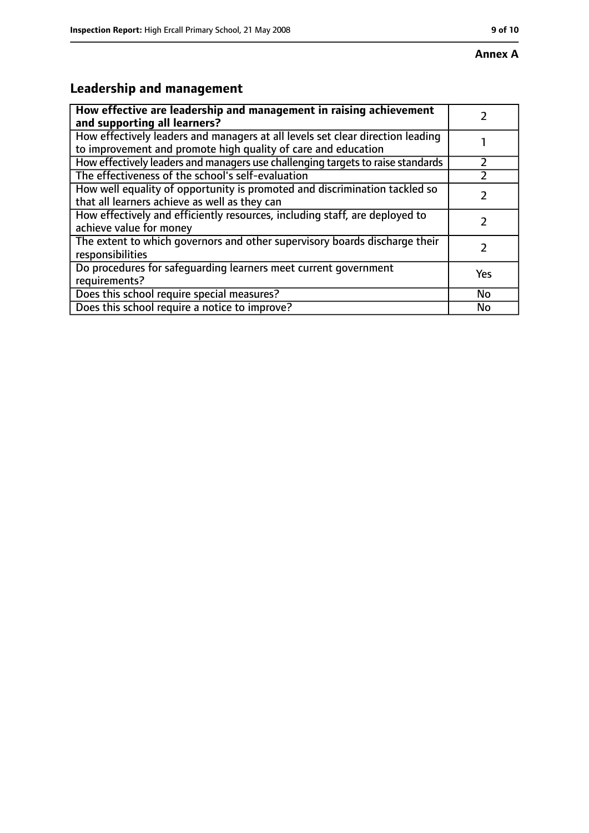### **Annex A**

# **Leadership and management**

| How effective are leadership and management in raising achievement<br>and supporting all learners?                                              |     |
|-------------------------------------------------------------------------------------------------------------------------------------------------|-----|
| How effectively leaders and managers at all levels set clear direction leading<br>to improvement and promote high quality of care and education |     |
| How effectively leaders and managers use challenging targets to raise standards                                                                 |     |
| The effectiveness of the school's self-evaluation                                                                                               |     |
| How well equality of opportunity is promoted and discrimination tackled so<br>that all learners achieve as well as they can                     |     |
| How effectively and efficiently resources, including staff, are deployed to<br>achieve value for money                                          |     |
| The extent to which governors and other supervisory boards discharge their<br>responsibilities                                                  |     |
| Do procedures for safequarding learners meet current government<br>requirements?                                                                | Yes |
| Does this school require special measures?                                                                                                      | No  |
| Does this school require a notice to improve?                                                                                                   | No  |